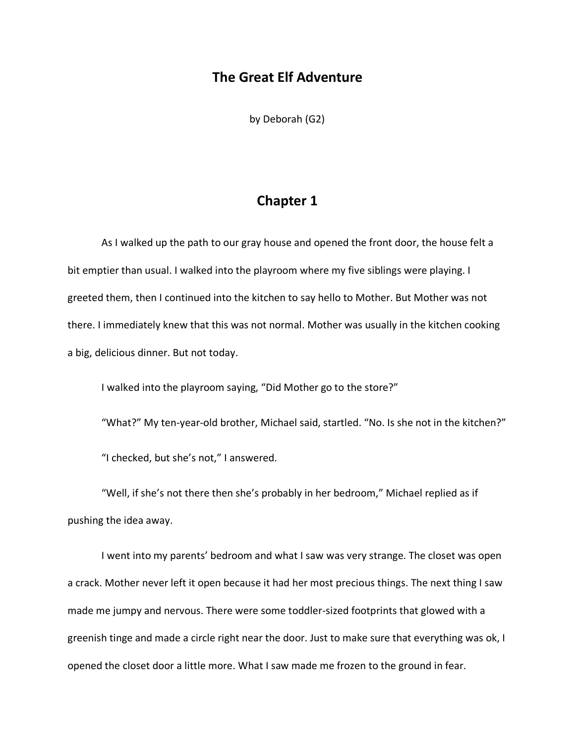### **The Great Elf Adventure**

by Deborah (G2)

## **Chapter 1**

As I walked up the path to our gray house and opened the front door, the house felt a bit emptier than usual. I walked into the playroom where my five siblings were playing. I greeted them, then I continued into the kitchen to say hello to Mother. But Mother was not there. I immediately knew that this was not normal. Mother was usually in the kitchen cooking a big, delicious dinner. But not today.

I walked into the playroom saying, "Did Mother go to the store?"

"What?" My ten-year-old brother, Michael said, startled. "No. Is she not in the kitchen?"

"I checked, but she's not," I answered.

"Well, if she's not there then she's probably in her bedroom," Michael replied as if pushing the idea away.

I went into my parents' bedroom and what I saw was very strange. The closet was open a crack. Mother never left it open because it had her most precious things. The next thing I saw made me jumpy and nervous. There were some toddler-sized footprints that glowed with a greenish tinge and made a circle right near the door. Just to make sure that everything was ok, I opened the closet door a little more. What I saw made me frozen to the ground in fear.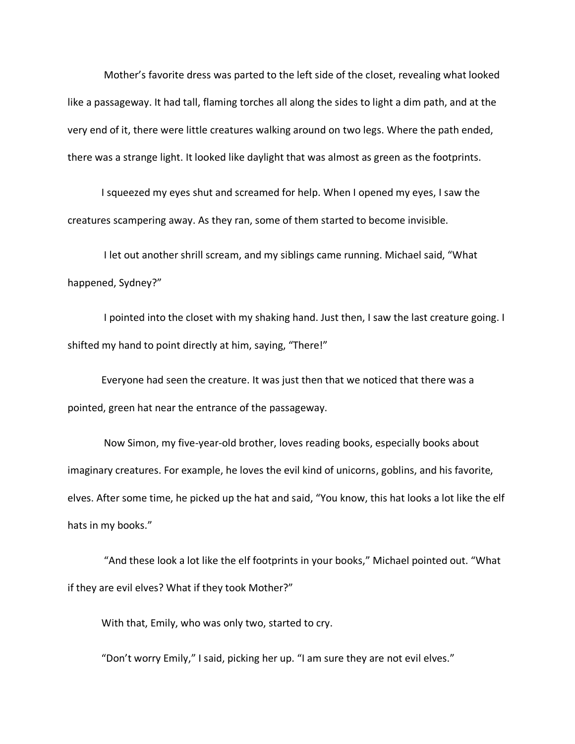Mother's favorite dress was parted to the left side of the closet, revealing what looked like a passageway. It had tall, flaming torches all along the sides to light a dim path, and at the very end of it, there were little creatures walking around on two legs. Where the path ended, there was a strange light. It looked like daylight that was almost as green as the footprints.

I squeezed my eyes shut and screamed for help. When I opened my eyes, I saw the creatures scampering away. As they ran, some of them started to become invisible.

I let out another shrill scream, and my siblings came running. Michael said, "What happened, Sydney?"

I pointed into the closet with my shaking hand. Just then, I saw the last creature going. I shifted my hand to point directly at him, saying, "There!"

Everyone had seen the creature. It was just then that we noticed that there was a pointed, green hat near the entrance of the passageway.

Now Simon, my five-year-old brother, loves reading books, especially books about imaginary creatures. For example, he loves the evil kind of unicorns, goblins, and his favorite, elves. After some time, he picked up the hat and said, "You know, this hat looks a lot like the elf hats in my books."

"And these look a lot like the elf footprints in your books," Michael pointed out. "What if they are evil elves? What if they took Mother?"

With that, Emily, who was only two, started to cry.

"Don't worry Emily," I said, picking her up. "I am sure they are not evil elves."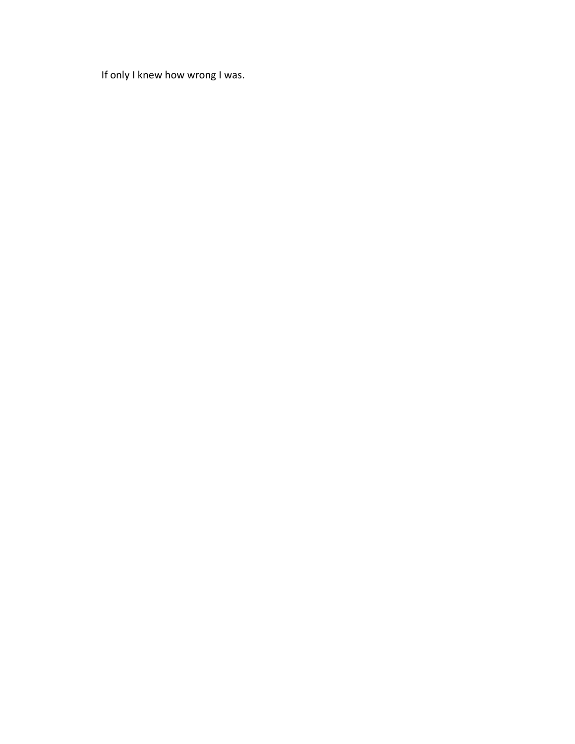If only I knew how wrong I was.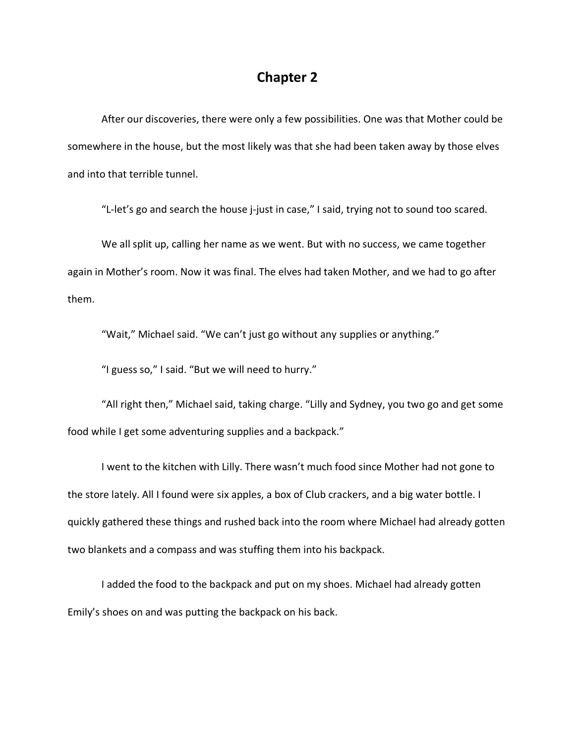#### **Chapter 2**

After our discoveries, there were only a few possibilities. One was that Mother could be somewhere in the house, but the most likely was that she had been taken away by those elves and into that terrible tunnel.

"L-let's go and search the house j-just in case," I said, trying not to sound too scared.

We all split up, calling her name as we went. But with no success, we came together again in Mother's room. Now it was final. The elves had taken Mother, and we had to go after them.

"Wait," Michael said. "We can't just go without any supplies or anything."

"I guess so," I said. "But we will need to hurry."

"All right then," Michael said, taking charge. "Lilly and Sydney, you two go and get some food while I get some adventuring supplies and a backpack."

I went to the kitchen with Lilly. There wasn't much food since Mother had not gone to the store lately. All I found were six apples, a box of Club crackers, and a big water bottle. I quickly gathered these things and rushed back into the room where Michael had already gotten two blankets and a compass and was stuffing them into his backpack.

I added the food to the backpack and put on my shoes. Michael had already gotten Emily's shoes on and was putting the backpack on his back.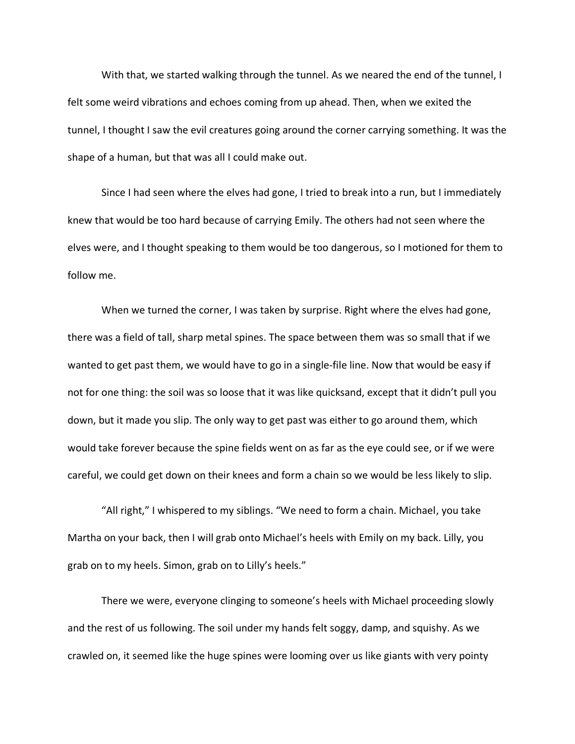With that, we started walking through the tunnel. As we neared the end of the tunnel, I felt some weird vibrations and echoes coming from up ahead. Then, when we exited the tunnel, I thought I saw the evil creatures going around the corner carrying something. It was the shape of a human, but that was all I could make out.

Since I had seen where the elves had gone, I tried to break into a run, but I immediately knew that would be too hard because of carrying Emily. The others had not seen where the elves were, and I thought speaking to them would be too dangerous, so I motioned for them to follow me.

When we turned the corner, I was taken by surprise. Right where the elves had gone, there was a field of tall, sharp metal spines. The space between them was so small that if we wanted to get past them, we would have to go in a single-file line. Now that would be easy if not for one thing: the soil was so loose that it was like quicksand, except that it didn't pull you down, but it made you slip. The only way to get past was either to go around them, which would take forever because the spine fields went on as far as the eye could see, or if we were careful, we could get down on their knees and form a chain so we would be less likely to slip.

"All right," I whispered to my siblings. "We need to form a chain. Michael, you take Martha on your back, then I will grab onto Michael's heels with Emily on my back. Lilly, you grab on to my heels. Simon, grab on to Lilly's heels."

There we were, everyone clinging to someone's heels with Michael proceeding slowly and the rest of us following. The soil under my hands felt soggy, damp, and squishy. As we crawled on, it seemed like the huge spines were looming over us like giants with very pointy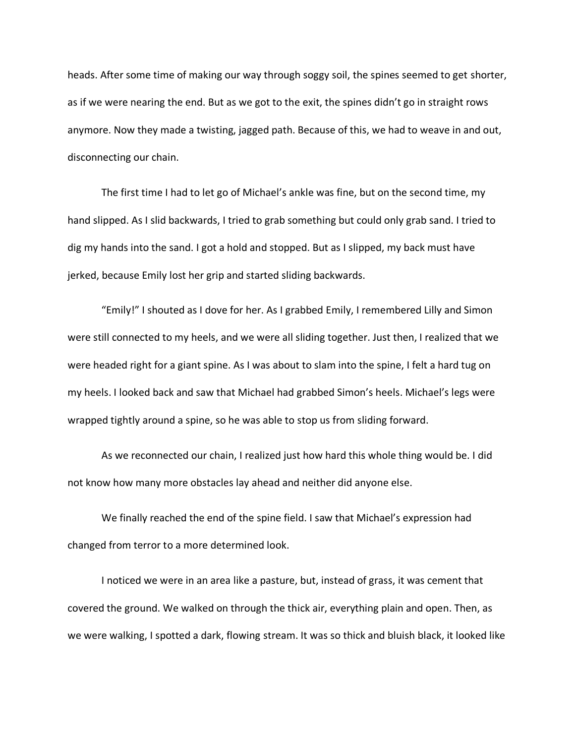heads. After some time of making our way through soggy soil, the spines seemed to get shorter, as if we were nearing the end. But as we got to the exit, the spines didn't go in straight rows anymore. Now they made a twisting, jagged path. Because of this, we had to weave in and out, disconnecting our chain.

The first time I had to let go of Michael's ankle was fine, but on the second time, my hand slipped. As I slid backwards, I tried to grab something but could only grab sand. I tried to dig my hands into the sand. I got a hold and stopped. But as I slipped, my back must have jerked, because Emily lost her grip and started sliding backwards.

"Emily!" I shouted as I dove for her. As I grabbed Emily, I remembered Lilly and Simon were still connected to my heels, and we were all sliding together. Just then, I realized that we were headed right for a giant spine. As I was about to slam into the spine, I felt a hard tug on my heels. I looked back and saw that Michael had grabbed Simon's heels. Michael's legs were wrapped tightly around a spine, so he was able to stop us from sliding forward.

As we reconnected our chain, I realized just how hard this whole thing would be. I did not know how many more obstacles lay ahead and neither did anyone else.

We finally reached the end of the spine field. I saw that Michael's expression had changed from terror to a more determined look.

I noticed we were in an area like a pasture, but, instead of grass, it was cement that covered the ground. We walked on through the thick air, everything plain and open. Then, as we were walking, I spotted a dark, flowing stream. It was so thick and bluish black, it looked like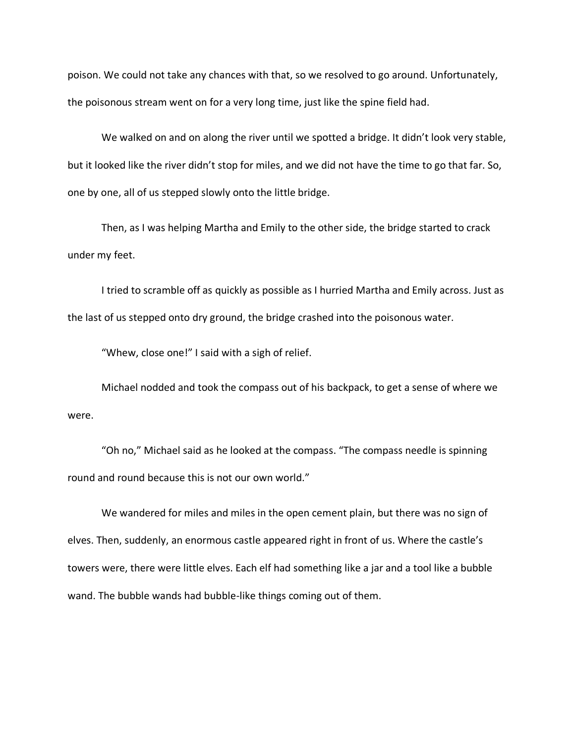poison. We could not take any chances with that, so we resolved to go around. Unfortunately, the poisonous stream went on for a very long time, just like the spine field had.

We walked on and on along the river until we spotted a bridge. It didn't look very stable, but it looked like the river didn't stop for miles, and we did not have the time to go that far. So, one by one, all of us stepped slowly onto the little bridge.

Then, as I was helping Martha and Emily to the other side, the bridge started to crack under my feet.

I tried to scramble off as quickly as possible as I hurried Martha and Emily across. Just as the last of us stepped onto dry ground, the bridge crashed into the poisonous water.

"Whew, close one!" I said with a sigh of relief.

Michael nodded and took the compass out of his backpack, to get a sense of where we were.

"Oh no," Michael said as he looked at the compass. "The compass needle is spinning round and round because this is not our own world."

We wandered for miles and miles in the open cement plain, but there was no sign of elves. Then, suddenly, an enormous castle appeared right in front of us. Where the castle's towers were, there were little elves. Each elf had something like a jar and a tool like a bubble wand. The bubble wands had bubble-like things coming out of them.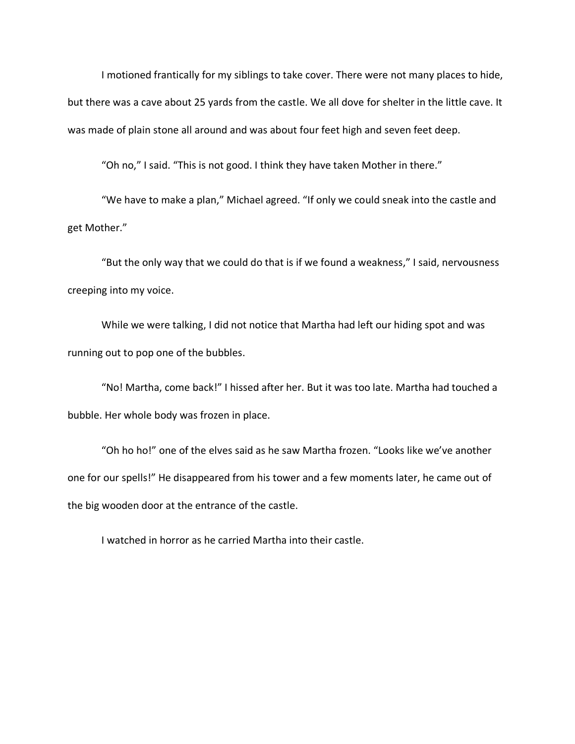I motioned frantically for my siblings to take cover. There were not many places to hide, but there was a cave about 25 yards from the castle. We all dove for shelter in the little cave. It was made of plain stone all around and was about four feet high and seven feet deep.

"Oh no," I said. "This is not good. I think they have taken Mother in there."

"We have to make a plan," Michael agreed. "If only we could sneak into the castle and get Mother."

"But the only way that we could do that is if we found a weakness," I said, nervousness creeping into my voice.

While we were talking, I did not notice that Martha had left our hiding spot and was running out to pop one of the bubbles.

"No! Martha, come back!" I hissed after her. But it was too late. Martha had touched a bubble. Her whole body was frozen in place.

"Oh ho ho!" one of the elves said as he saw Martha frozen. "Looks like we've another one for our spells!" He disappeared from his tower and a few moments later, he came out of the big wooden door at the entrance of the castle.

I watched in horror as he carried Martha into their castle.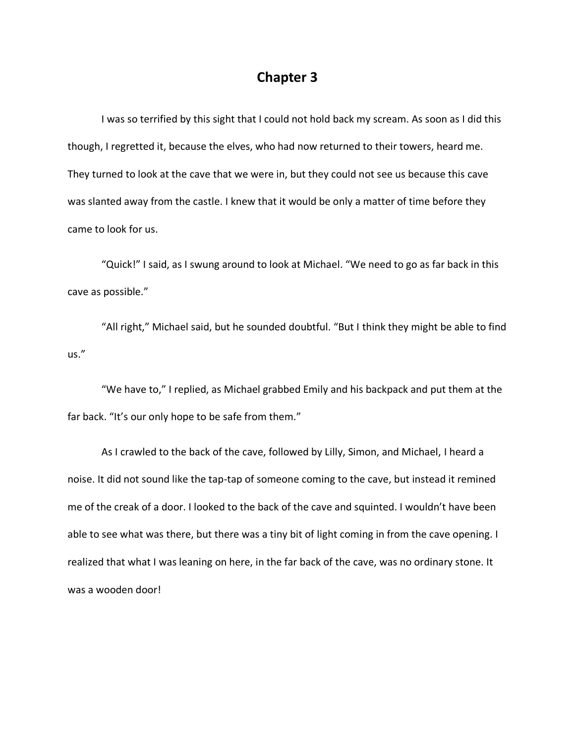#### **Chapter 3**

I was so terrified by this sight that I could not hold back my scream. As soon as I did this though, I regretted it, because the elves, who had now returned to their towers, heard me. They turned to look at the cave that we were in, but they could not see us because this cave was slanted away from the castle. I knew that it would be only a matter of time before they came to look for us.

"Quick!" I said, as I swung around to look at Michael. "We need to go as far back in this cave as possible."

"All right," Michael said, but he sounded doubtful. "But I think they might be able to find us."

"We have to," I replied, as Michael grabbed Emily and his backpack and put them at the far back. "It's our only hope to be safe from them."

As I crawled to the back of the cave, followed by Lilly, Simon, and Michael, I heard a noise. It did not sound like the tap-tap of someone coming to the cave, but instead it remined me of the creak of a door. I looked to the back of the cave and squinted. I wouldn't have been able to see what was there, but there was a tiny bit of light coming in from the cave opening. I realized that what I was leaning on here, in the far back of the cave, was no ordinary stone. It was a wooden door!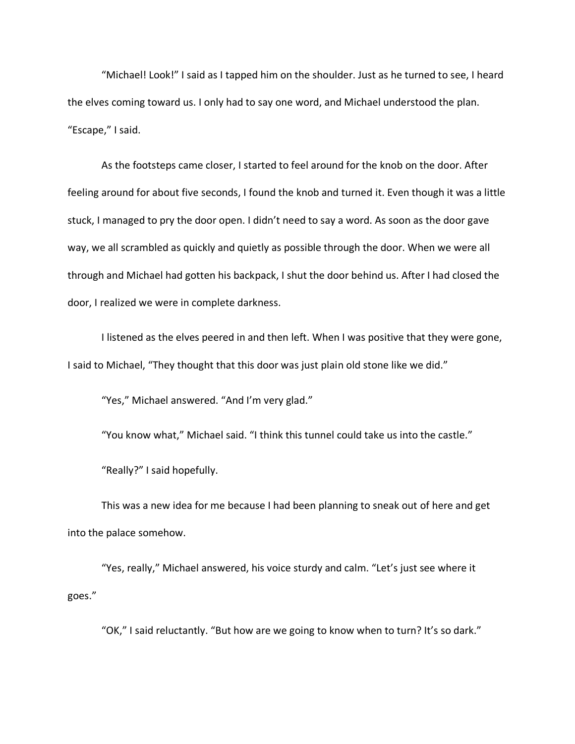"Michael! Look!" I said as I tapped him on the shoulder. Just as he turned to see, I heard the elves coming toward us. I only had to say one word, and Michael understood the plan. "Escape," I said.

As the footsteps came closer, I started to feel around for the knob on the door. After feeling around for about five seconds, I found the knob and turned it. Even though it was a little stuck, I managed to pry the door open. I didn't need to say a word. As soon as the door gave way, we all scrambled as quickly and quietly as possible through the door. When we were all through and Michael had gotten his backpack, I shut the door behind us. After I had closed the door, I realized we were in complete darkness.

I listened as the elves peered in and then left. When I was positive that they were gone, I said to Michael, "They thought that this door was just plain old stone like we did."

"Yes," Michael answered. "And I'm very glad."

"You know what," Michael said. "I think this tunnel could take us into the castle."

"Really?" I said hopefully.

This was a new idea for me because I had been planning to sneak out of here and get into the palace somehow.

"Yes, really," Michael answered, his voice sturdy and calm. "Let's just see where it goes."

"OK," I said reluctantly. "But how are we going to know when to turn? It's so dark."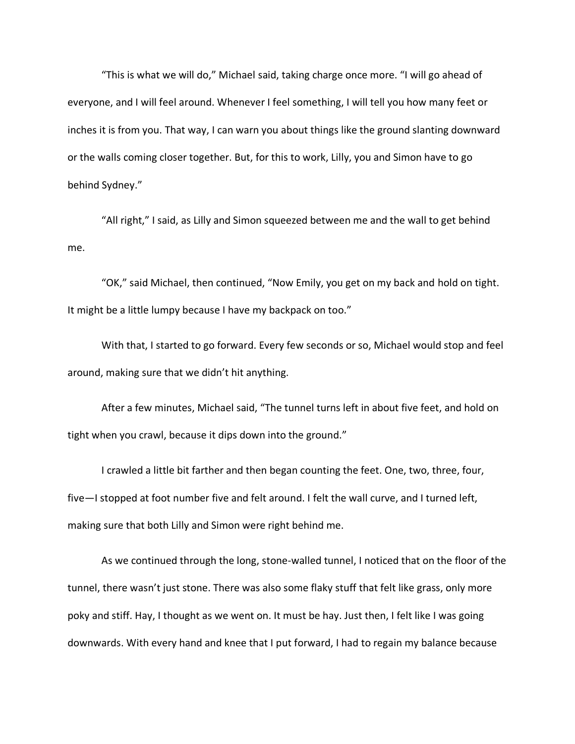"This is what we will do," Michael said, taking charge once more. "I will go ahead of everyone, and I will feel around. Whenever I feel something, I will tell you how many feet or inches it is from you. That way, I can warn you about things like the ground slanting downward or the walls coming closer together. But, for this to work, Lilly, you and Simon have to go behind Sydney."

"All right," I said, as Lilly and Simon squeezed between me and the wall to get behind me.

"OK," said Michael, then continued, "Now Emily, you get on my back and hold on tight. It might be a little lumpy because I have my backpack on too."

With that, I started to go forward. Every few seconds or so, Michael would stop and feel around, making sure that we didn't hit anything.

After a few minutes, Michael said, "The tunnel turns left in about five feet, and hold on tight when you crawl, because it dips down into the ground."

I crawled a little bit farther and then began counting the feet. One, two, three, four, five—I stopped at foot number five and felt around. I felt the wall curve, and I turned left, making sure that both Lilly and Simon were right behind me.

As we continued through the long, stone-walled tunnel, I noticed that on the floor of the tunnel, there wasn't just stone. There was also some flaky stuff that felt like grass, only more poky and stiff. Hay, I thought as we went on. It must be hay. Just then, I felt like I was going downwards. With every hand and knee that I put forward, I had to regain my balance because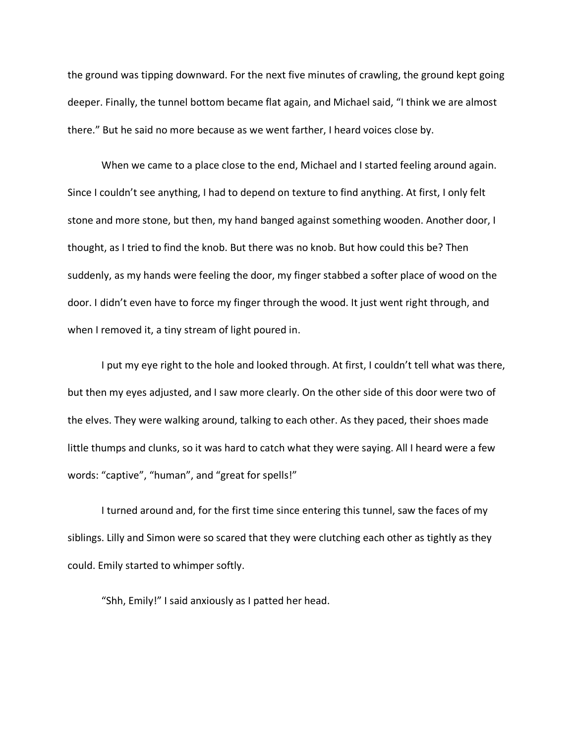the ground was tipping downward. For the next five minutes of crawling, the ground kept going deeper. Finally, the tunnel bottom became flat again, and Michael said, "I think we are almost there." But he said no more because as we went farther, I heard voices close by.

When we came to a place close to the end, Michael and I started feeling around again. Since I couldn't see anything, I had to depend on texture to find anything. At first, I only felt stone and more stone, but then, my hand banged against something wooden. Another door, I thought, as I tried to find the knob. But there was no knob. But how could this be? Then suddenly, as my hands were feeling the door, my finger stabbed a softer place of wood on the door. I didn't even have to force my finger through the wood. It just went right through, and when I removed it, a tiny stream of light poured in.

I put my eye right to the hole and looked through. At first, I couldn't tell what was there, but then my eyes adjusted, and I saw more clearly. On the other side of this door were two of the elves. They were walking around, talking to each other. As they paced, their shoes made little thumps and clunks, so it was hard to catch what they were saying. All I heard were a few words: "captive", "human", and "great for spells!"

I turned around and, for the first time since entering this tunnel, saw the faces of my siblings. Lilly and Simon were so scared that they were clutching each other as tightly as they could. Emily started to whimper softly.

"Shh, Emily!" I said anxiously as I patted her head.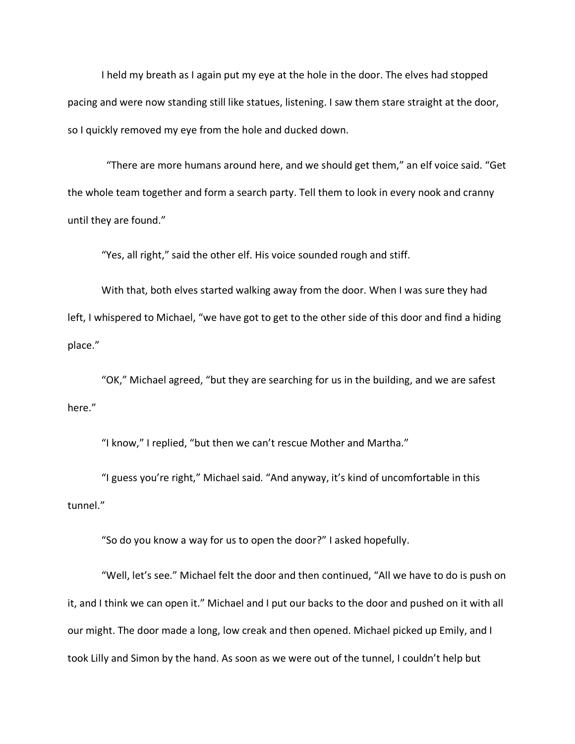I held my breath as I again put my eye at the hole in the door. The elves had stopped pacing and were now standing still like statues, listening. I saw them stare straight at the door, so I quickly removed my eye from the hole and ducked down.

"There are more humans around here, and we should get them," an elf voice said. "Get the whole team together and form a search party. Tell them to look in every nook and cranny until they are found."

"Yes, all right," said the other elf. His voice sounded rough and stiff.

With that, both elves started walking away from the door. When I was sure they had left, I whispered to Michael, "we have got to get to the other side of this door and find a hiding place."

"OK," Michael agreed, "but they are searching for us in the building, and we are safest here."

"I know," I replied, "but then we can't rescue Mother and Martha."

"I guess you're right," Michael said. "And anyway, it's kind of uncomfortable in this tunnel."

"So do you know a way for us to open the door?" I asked hopefully.

"Well, let's see." Michael felt the door and then continued, "All we have to do is push on it, and I think we can open it." Michael and I put our backs to the door and pushed on it with all our might. The door made a long, low creak and then opened. Michael picked up Emily, and I took Lilly and Simon by the hand. As soon as we were out of the tunnel, I couldn't help but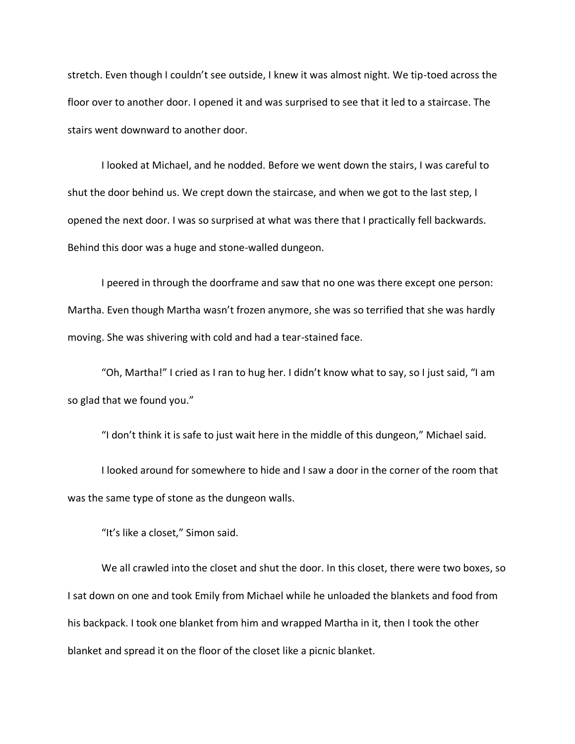stretch. Even though I couldn't see outside, I knew it was almost night. We tip-toed across the floor over to another door. I opened it and was surprised to see that it led to a staircase. The stairs went downward to another door.

I looked at Michael, and he nodded. Before we went down the stairs, I was careful to shut the door behind us. We crept down the staircase, and when we got to the last step, I opened the next door. I was so surprised at what was there that I practically fell backwards. Behind this door was a huge and stone-walled dungeon.

I peered in through the doorframe and saw that no one was there except one person: Martha. Even though Martha wasn't frozen anymore, she was so terrified that she was hardly moving. She was shivering with cold and had a tear-stained face.

"Oh, Martha!" I cried as I ran to hug her. I didn't know what to say, so I just said, "I am so glad that we found you."

"I don't think it is safe to just wait here in the middle of this dungeon," Michael said.

I looked around for somewhere to hide and I saw a door in the corner of the room that was the same type of stone as the dungeon walls.

"It's like a closet," Simon said.

We all crawled into the closet and shut the door. In this closet, there were two boxes, so I sat down on one and took Emily from Michael while he unloaded the blankets and food from his backpack. I took one blanket from him and wrapped Martha in it, then I took the other blanket and spread it on the floor of the closet like a picnic blanket.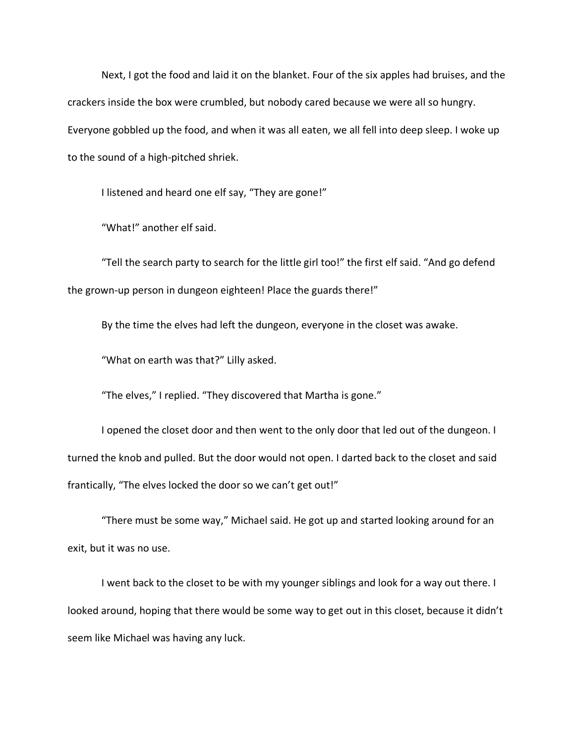Next, I got the food and laid it on the blanket. Four of the six apples had bruises, and the crackers inside the box were crumbled, but nobody cared because we were all so hungry. Everyone gobbled up the food, and when it was all eaten, we all fell into deep sleep. I woke up to the sound of a high-pitched shriek.

I listened and heard one elf say, "They are gone!"

"What!" another elf said.

"Tell the search party to search for the little girl too!" the first elf said. "And go defend the grown-up person in dungeon eighteen! Place the guards there!"

By the time the elves had left the dungeon, everyone in the closet was awake.

"What on earth was that?" Lilly asked.

"The elves," I replied. "They discovered that Martha is gone."

I opened the closet door and then went to the only door that led out of the dungeon. I turned the knob and pulled. But the door would not open. I darted back to the closet and said frantically, "The elves locked the door so we can't get out!"

"There must be some way," Michael said. He got up and started looking around for an exit, but it was no use.

I went back to the closet to be with my younger siblings and look for a way out there. I looked around, hoping that there would be some way to get out in this closet, because it didn't seem like Michael was having any luck.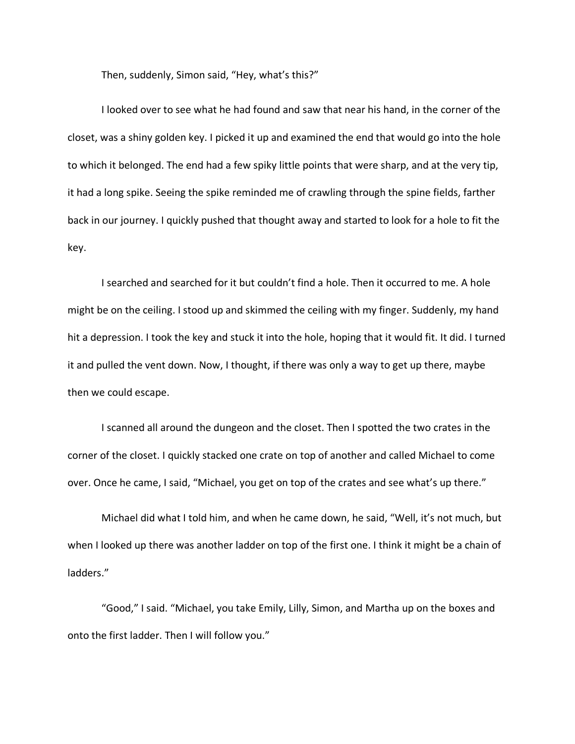Then, suddenly, Simon said, "Hey, what's this?"

I looked over to see what he had found and saw that near his hand, in the corner of the closet, was a shiny golden key. I picked it up and examined the end that would go into the hole to which it belonged. The end had a few spiky little points that were sharp, and at the very tip, it had a long spike. Seeing the spike reminded me of crawling through the spine fields, farther back in our journey. I quickly pushed that thought away and started to look for a hole to fit the key.

I searched and searched for it but couldn't find a hole. Then it occurred to me. A hole might be on the ceiling. I stood up and skimmed the ceiling with my finger. Suddenly, my hand hit a depression. I took the key and stuck it into the hole, hoping that it would fit. It did. I turned it and pulled the vent down. Now, I thought, if there was only a way to get up there, maybe then we could escape.

I scanned all around the dungeon and the closet. Then I spotted the two crates in the corner of the closet. I quickly stacked one crate on top of another and called Michael to come over. Once he came, I said, "Michael, you get on top of the crates and see what's up there."

Michael did what I told him, and when he came down, he said, "Well, it's not much, but when I looked up there was another ladder on top of the first one. I think it might be a chain of ladders."

"Good," I said. "Michael, you take Emily, Lilly, Simon, and Martha up on the boxes and onto the first ladder. Then I will follow you."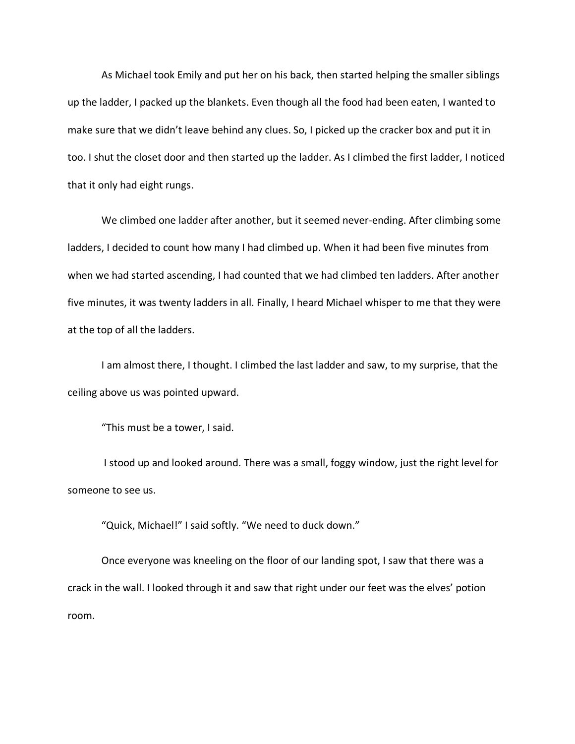As Michael took Emily and put her on his back, then started helping the smaller siblings up the ladder, I packed up the blankets. Even though all the food had been eaten, I wanted to make sure that we didn't leave behind any clues. So, I picked up the cracker box and put it in too. I shut the closet door and then started up the ladder. As I climbed the first ladder, I noticed that it only had eight rungs.

We climbed one ladder after another, but it seemed never-ending. After climbing some ladders, I decided to count how many I had climbed up. When it had been five minutes from when we had started ascending, I had counted that we had climbed ten ladders. After another five minutes, it was twenty ladders in all. Finally, I heard Michael whisper to me that they were at the top of all the ladders.

I am almost there, I thought. I climbed the last ladder and saw, to my surprise, that the ceiling above us was pointed upward.

"This must be a tower, I said.

I stood up and looked around. There was a small, foggy window, just the right level for someone to see us.

"Quick, Michael!" I said softly. "We need to duck down."

Once everyone was kneeling on the floor of our landing spot, I saw that there was a crack in the wall. I looked through it and saw that right under our feet was the elves' potion room.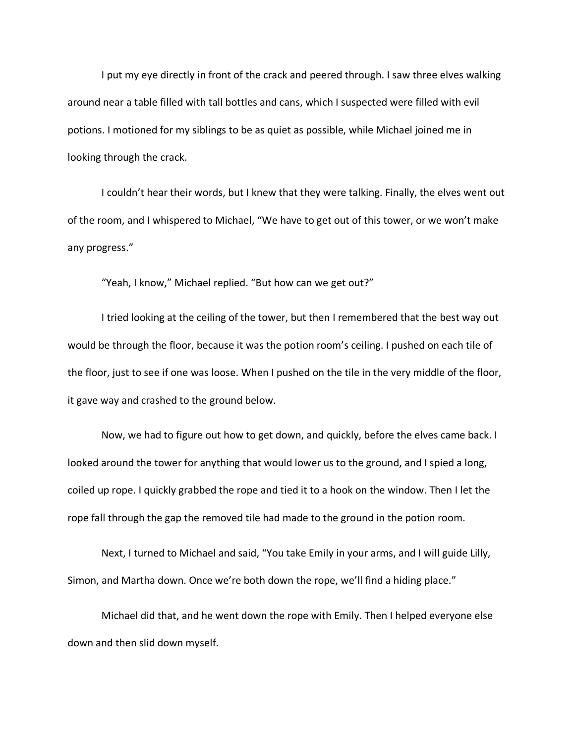I put my eye directly in front of the crack and peered through. I saw three elves walking around near a table filled with tall bottles and cans, which I suspected were filled with evil potions. I motioned for my siblings to be as quiet as possible, while Michael joined me in looking through the crack.

I couldn't hear their words, but I knew that they were talking. Finally, the elves went out of the room, and I whispered to Michael, "We have to get out of this tower, or we won't make any progress."

"Yeah, I know," Michael replied. "But how can we get out?"

I tried looking at the ceiling of the tower, but then I remembered that the best way out would be through the floor, because it was the potion room's ceiling. I pushed on each tile of the floor, just to see if one was loose. When I pushed on the tile in the very middle of the floor, it gave way and crashed to the ground below.

Now, we had to figure out how to get down, and quickly, before the elves came back. I looked around the tower for anything that would lower us to the ground, and I spied a long, coiled up rope. I quickly grabbed the rope and tied it to a hook on the window. Then I let the rope fall through the gap the removed tile had made to the ground in the potion room.

Next, I turned to Michael and said, "You take Emily in your arms, and I will guide Lilly, Simon, and Martha down. Once we're both down the rope, we'll find a hiding place."

Michael did that, and he went down the rope with Emily. Then I helped everyone else down and then slid down myself.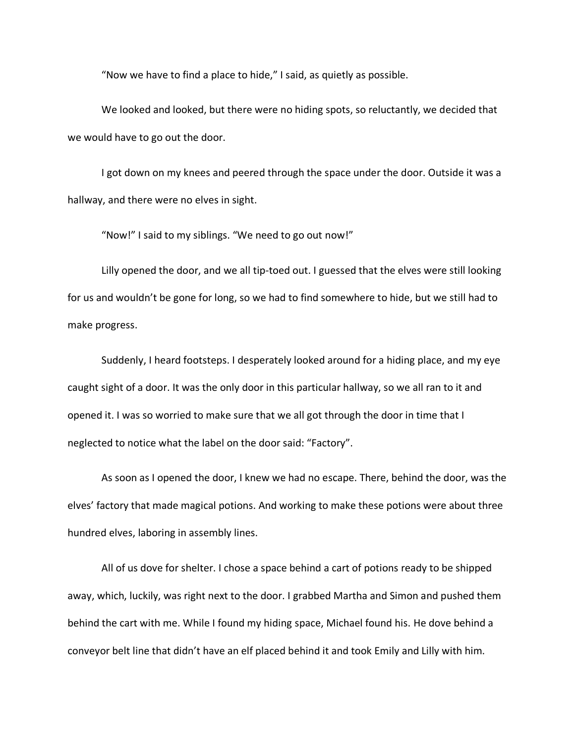"Now we have to find a place to hide," I said, as quietly as possible.

We looked and looked, but there were no hiding spots, so reluctantly, we decided that we would have to go out the door.

I got down on my knees and peered through the space under the door. Outside it was a hallway, and there were no elves in sight.

"Now!" I said to my siblings. "We need to go out now!"

Lilly opened the door, and we all tip-toed out. I guessed that the elves were still looking for us and wouldn't be gone for long, so we had to find somewhere to hide, but we still had to make progress.

Suddenly, I heard footsteps. I desperately looked around for a hiding place, and my eye caught sight of a door. It was the only door in this particular hallway, so we all ran to it and opened it. I was so worried to make sure that we all got through the door in time that I neglected to notice what the label on the door said: "Factory".

As soon as I opened the door, I knew we had no escape. There, behind the door, was the elves' factory that made magical potions. And working to make these potions were about three hundred elves, laboring in assembly lines.

All of us dove for shelter. I chose a space behind a cart of potions ready to be shipped away, which, luckily, was right next to the door. I grabbed Martha and Simon and pushed them behind the cart with me. While I found my hiding space, Michael found his. He dove behind a conveyor belt line that didn't have an elf placed behind it and took Emily and Lilly with him.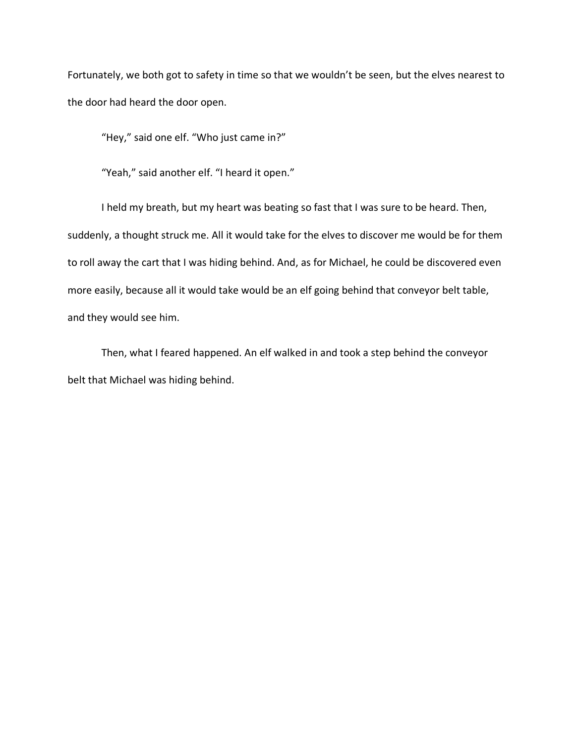Fortunately, we both got to safety in time so that we wouldn't be seen, but the elves nearest to the door had heard the door open.

"Hey," said one elf. "Who just came in?"

"Yeah," said another elf. "I heard it open."

I held my breath, but my heart was beating so fast that I was sure to be heard. Then, suddenly, a thought struck me. All it would take for the elves to discover me would be for them to roll away the cart that I was hiding behind. And, as for Michael, he could be discovered even more easily, because all it would take would be an elf going behind that conveyor belt table, and they would see him.

Then, what I feared happened. An elf walked in and took a step behind the conveyor belt that Michael was hiding behind.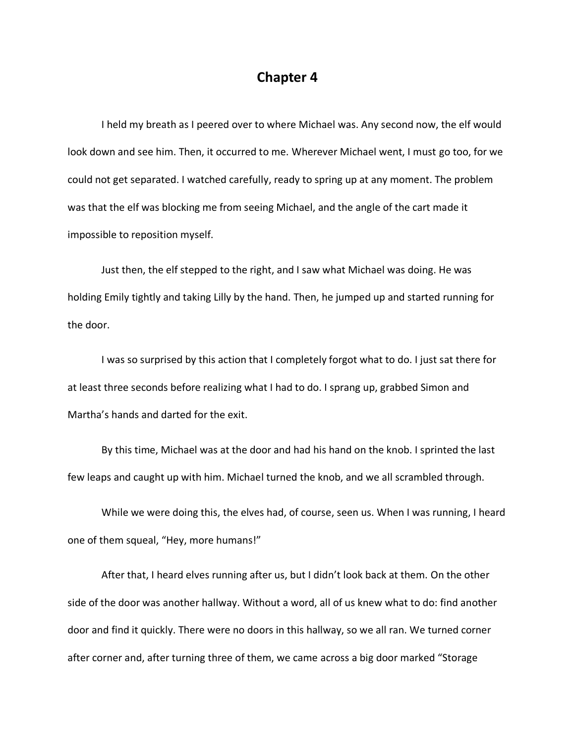#### **Chapter 4**

I held my breath as I peered over to where Michael was. Any second now, the elf would look down and see him. Then, it occurred to me. Wherever Michael went, I must go too, for we could not get separated. I watched carefully, ready to spring up at any moment. The problem was that the elf was blocking me from seeing Michael, and the angle of the cart made it impossible to reposition myself.

Just then, the elf stepped to the right, and I saw what Michael was doing. He was holding Emily tightly and taking Lilly by the hand. Then, he jumped up and started running for the door.

I was so surprised by this action that I completely forgot what to do. I just sat there for at least three seconds before realizing what I had to do. I sprang up, grabbed Simon and Martha's hands and darted for the exit.

By this time, Michael was at the door and had his hand on the knob. I sprinted the last few leaps and caught up with him. Michael turned the knob, and we all scrambled through.

While we were doing this, the elves had, of course, seen us. When I was running, I heard one of them squeal, "Hey, more humans!"

After that, I heard elves running after us, but I didn't look back at them. On the other side of the door was another hallway. Without a word, all of us knew what to do: find another door and find it quickly. There were no doors in this hallway, so we all ran. We turned corner after corner and, after turning three of them, we came across a big door marked "Storage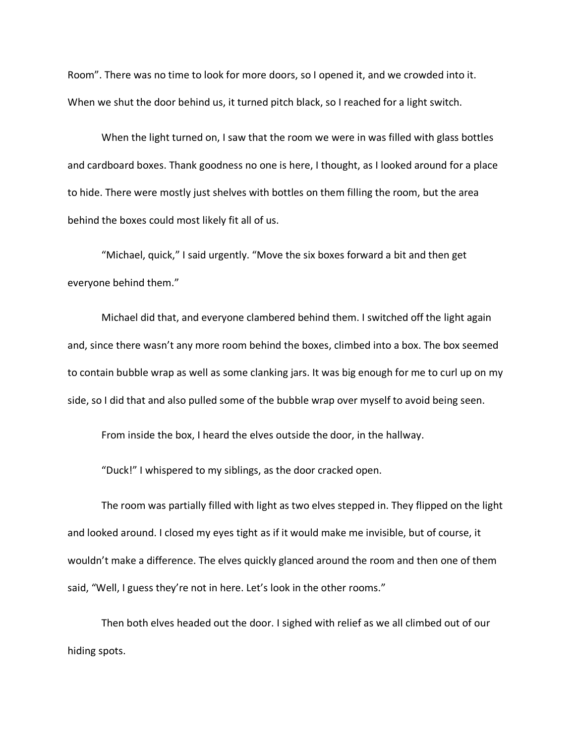Room". There was no time to look for more doors, so I opened it, and we crowded into it. When we shut the door behind us, it turned pitch black, so I reached for a light switch.

When the light turned on, I saw that the room we were in was filled with glass bottles and cardboard boxes. Thank goodness no one is here, I thought, as I looked around for a place to hide. There were mostly just shelves with bottles on them filling the room, but the area behind the boxes could most likely fit all of us.

"Michael, quick," I said urgently. "Move the six boxes forward a bit and then get everyone behind them."

Michael did that, and everyone clambered behind them. I switched off the light again and, since there wasn't any more room behind the boxes, climbed into a box. The box seemed to contain bubble wrap as well as some clanking jars. It was big enough for me to curl up on my side, so I did that and also pulled some of the bubble wrap over myself to avoid being seen.

From inside the box, I heard the elves outside the door, in the hallway.

"Duck!" I whispered to my siblings, as the door cracked open.

The room was partially filled with light as two elves stepped in. They flipped on the light and looked around. I closed my eyes tight as if it would make me invisible, but of course, it wouldn't make a difference. The elves quickly glanced around the room and then one of them said, "Well, I guess they're not in here. Let's look in the other rooms."

Then both elves headed out the door. I sighed with relief as we all climbed out of our hiding spots.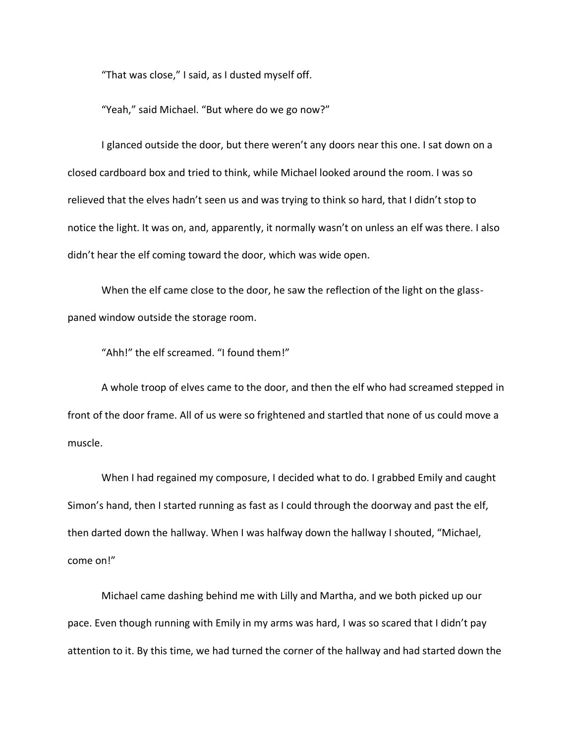"That was close," I said, as I dusted myself off.

"Yeah," said Michael. "But where do we go now?"

I glanced outside the door, but there weren't any doors near this one. I sat down on a closed cardboard box and tried to think, while Michael looked around the room. I was so relieved that the elves hadn't seen us and was trying to think so hard, that I didn't stop to notice the light. It was on, and, apparently, it normally wasn't on unless an elf was there. I also didn't hear the elf coming toward the door, which was wide open.

When the elf came close to the door, he saw the reflection of the light on the glasspaned window outside the storage room.

"Ahh!" the elf screamed. "I found them!"

A whole troop of elves came to the door, and then the elf who had screamed stepped in front of the door frame. All of us were so frightened and startled that none of us could move a muscle.

When I had regained my composure, I decided what to do. I grabbed Emily and caught Simon's hand, then I started running as fast as I could through the doorway and past the elf, then darted down the hallway. When I was halfway down the hallway I shouted, "Michael, come on!"

Michael came dashing behind me with Lilly and Martha, and we both picked up our pace. Even though running with Emily in my arms was hard, I was so scared that I didn't pay attention to it. By this time, we had turned the corner of the hallway and had started down the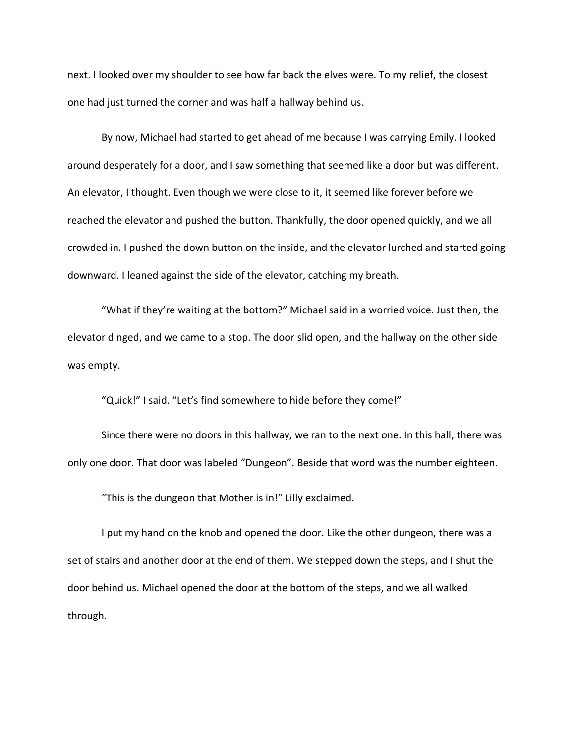next. I looked over my shoulder to see how far back the elves were. To my relief, the closest one had just turned the corner and was half a hallway behind us.

By now, Michael had started to get ahead of me because I was carrying Emily. I looked around desperately for a door, and I saw something that seemed like a door but was different. An elevator, I thought. Even though we were close to it, it seemed like forever before we reached the elevator and pushed the button. Thankfully, the door opened quickly, and we all crowded in. I pushed the down button on the inside, and the elevator lurched and started going downward. I leaned against the side of the elevator, catching my breath.

"What if they're waiting at the bottom?" Michael said in a worried voice. Just then, the elevator dinged, and we came to a stop. The door slid open, and the hallway on the other side was empty.

"Quick!" I said. "Let's find somewhere to hide before they come!"

Since there were no doors in this hallway, we ran to the next one. In this hall, there was only one door. That door was labeled "Dungeon". Beside that word was the number eighteen.

"This is the dungeon that Mother is in!" Lilly exclaimed.

I put my hand on the knob and opened the door. Like the other dungeon, there was a set of stairs and another door at the end of them. We stepped down the steps, and I shut the door behind us. Michael opened the door at the bottom of the steps, and we all walked through.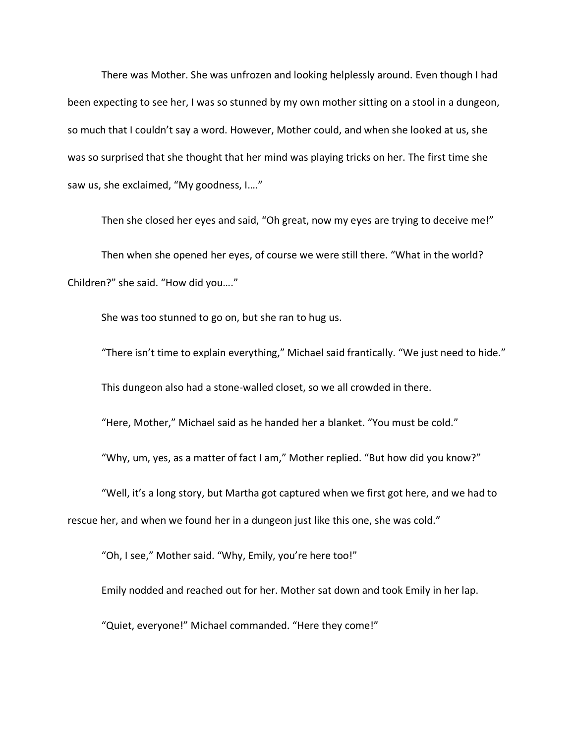There was Mother. She was unfrozen and looking helplessly around. Even though I had been expecting to see her, I was so stunned by my own mother sitting on a stool in a dungeon, so much that I couldn't say a word. However, Mother could, and when she looked at us, she was so surprised that she thought that her mind was playing tricks on her. The first time she saw us, she exclaimed, "My goodness, I…."

Then she closed her eyes and said, "Oh great, now my eyes are trying to deceive me!"

Then when she opened her eyes, of course we were still there. "What in the world? Children?" she said. "How did you…."

She was too stunned to go on, but she ran to hug us.

"There isn't time to explain everything," Michael said frantically. "We just need to hide." This dungeon also had a stone-walled closet, so we all crowded in there.

"Here, Mother," Michael said as he handed her a blanket. "You must be cold."

"Why, um, yes, as a matter of fact I am," Mother replied. "But how did you know?"

"Well, it's a long story, but Martha got captured when we first got here, and we had to rescue her, and when we found her in a dungeon just like this one, she was cold."

"Oh, I see," Mother said. "Why, Emily, you're here too!"

Emily nodded and reached out for her. Mother sat down and took Emily in her lap.

"Quiet, everyone!" Michael commanded. "Here they come!"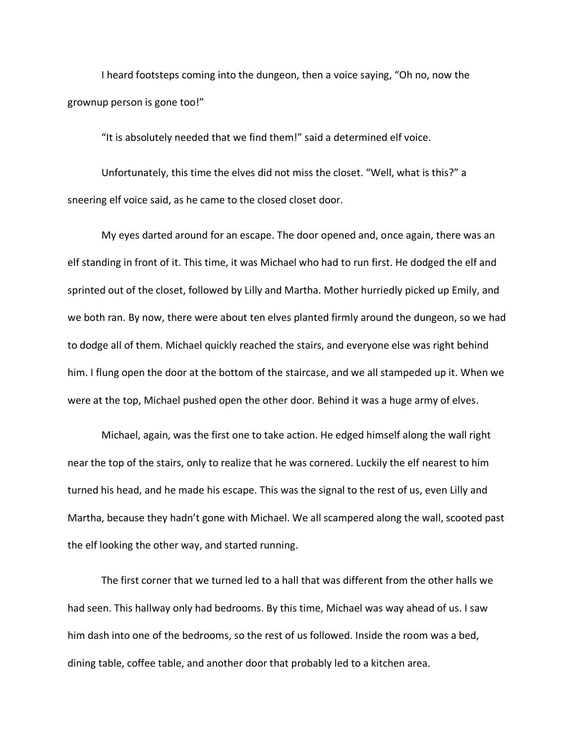I heard footsteps coming into the dungeon, then a voice saying, "Oh no, now the grownup person is gone too!"

"It is absolutely needed that we find them!" said a determined elf voice.

Unfortunately, this time the elves did not miss the closet. "Well, what is this?" a sneering elf voice said, as he came to the closed closet door.

My eyes darted around for an escape. The door opened and, once again, there was an elf standing in front of it. This time, it was Michael who had to run first. He dodged the elf and sprinted out of the closet, followed by Lilly and Martha. Mother hurriedly picked up Emily, and we both ran. By now, there were about ten elves planted firmly around the dungeon, so we had to dodge all of them. Michael quickly reached the stairs, and everyone else was right behind him. I flung open the door at the bottom of the staircase, and we all stampeded up it. When we were at the top, Michael pushed open the other door. Behind it was a huge army of elves.

Michael, again, was the first one to take action. He edged himself along the wall right near the top of the stairs, only to realize that he was cornered. Luckily the elf nearest to him turned his head, and he made his escape. This was the signal to the rest of us, even Lilly and Martha, because they hadn't gone with Michael. We all scampered along the wall, scooted past the elf looking the other way, and started running.

The first corner that we turned led to a hall that was different from the other halls we had seen. This hallway only had bedrooms. By this time, Michael was way ahead of us. I saw him dash into one of the bedrooms, so the rest of us followed. Inside the room was a bed, dining table, coffee table, and another door that probably led to a kitchen area.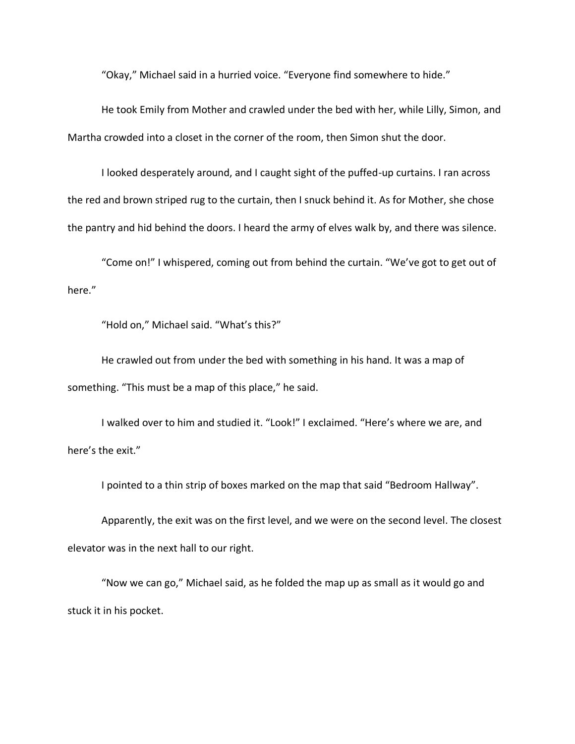"Okay," Michael said in a hurried voice. "Everyone find somewhere to hide."

He took Emily from Mother and crawled under the bed with her, while Lilly, Simon, and Martha crowded into a closet in the corner of the room, then Simon shut the door.

I looked desperately around, and I caught sight of the puffed-up curtains. I ran across the red and brown striped rug to the curtain, then I snuck behind it. As for Mother, she chose the pantry and hid behind the doors. I heard the army of elves walk by, and there was silence.

"Come on!" I whispered, coming out from behind the curtain. "We've got to get out of here."

"Hold on," Michael said. "What's this?"

He crawled out from under the bed with something in his hand. It was a map of something. "This must be a map of this place," he said.

I walked over to him and studied it. "Look!" I exclaimed. "Here's where we are, and here's the exit."

I pointed to a thin strip of boxes marked on the map that said "Bedroom Hallway".

Apparently, the exit was on the first level, and we were on the second level. The closest elevator was in the next hall to our right.

"Now we can go," Michael said, as he folded the map up as small as it would go and stuck it in his pocket.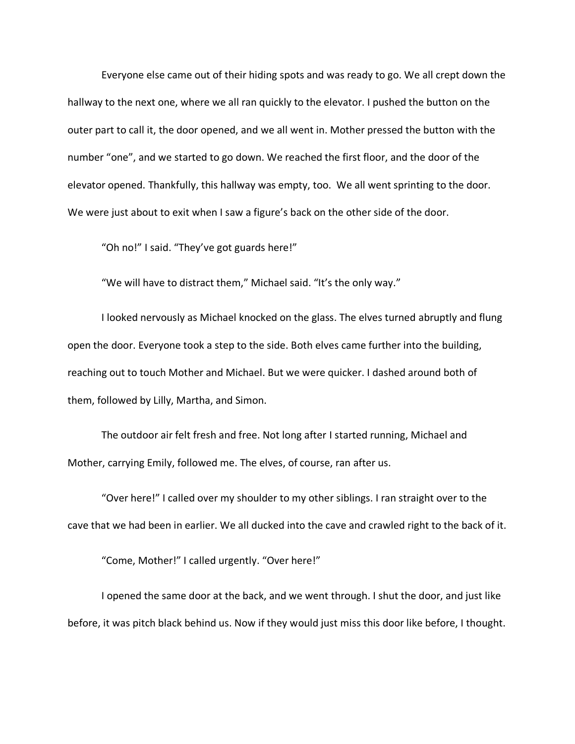Everyone else came out of their hiding spots and was ready to go. We all crept down the hallway to the next one, where we all ran quickly to the elevator. I pushed the button on the outer part to call it, the door opened, and we all went in. Mother pressed the button with the number "one", and we started to go down. We reached the first floor, and the door of the elevator opened. Thankfully, this hallway was empty, too. We all went sprinting to the door. We were just about to exit when I saw a figure's back on the other side of the door.

"Oh no!" I said. "They've got guards here!"

"We will have to distract them," Michael said. "It's the only way."

I looked nervously as Michael knocked on the glass. The elves turned abruptly and flung open the door. Everyone took a step to the side. Both elves came further into the building, reaching out to touch Mother and Michael. But we were quicker. I dashed around both of them, followed by Lilly, Martha, and Simon.

The outdoor air felt fresh and free. Not long after I started running, Michael and Mother, carrying Emily, followed me. The elves, of course, ran after us.

"Over here!" I called over my shoulder to my other siblings. I ran straight over to the cave that we had been in earlier. We all ducked into the cave and crawled right to the back of it.

"Come, Mother!" I called urgently. "Over here!"

I opened the same door at the back, and we went through. I shut the door, and just like before, it was pitch black behind us. Now if they would just miss this door like before, I thought.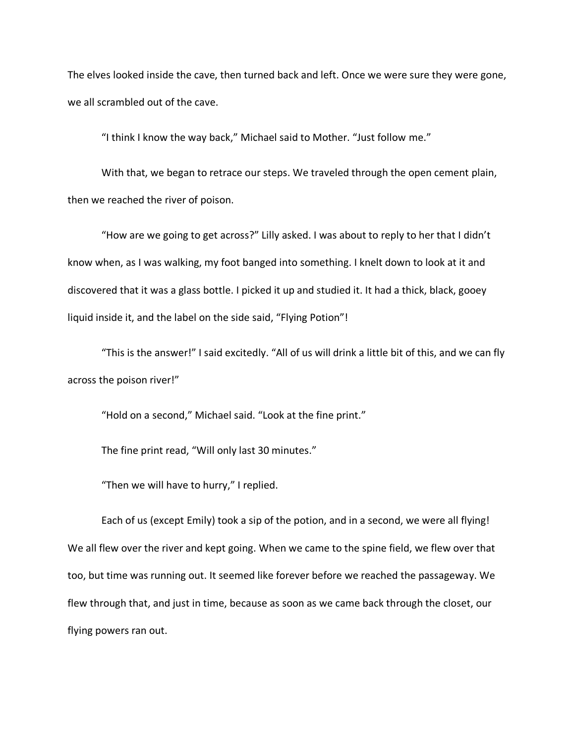The elves looked inside the cave, then turned back and left. Once we were sure they were gone, we all scrambled out of the cave.

"I think I know the way back," Michael said to Mother. "Just follow me."

With that, we began to retrace our steps. We traveled through the open cement plain, then we reached the river of poison.

"How are we going to get across?" Lilly asked. I was about to reply to her that I didn't know when, as I was walking, my foot banged into something. I knelt down to look at it and discovered that it was a glass bottle. I picked it up and studied it. It had a thick, black, gooey liquid inside it, and the label on the side said, "Flying Potion"!

"This is the answer!" I said excitedly. "All of us will drink a little bit of this, and we can fly across the poison river!"

"Hold on a second," Michael said. "Look at the fine print."

The fine print read, "Will only last 30 minutes."

"Then we will have to hurry," I replied.

Each of us (except Emily) took a sip of the potion, and in a second, we were all flying! We all flew over the river and kept going. When we came to the spine field, we flew over that too, but time was running out. It seemed like forever before we reached the passageway. We flew through that, and just in time, because as soon as we came back through the closet, our flying powers ran out.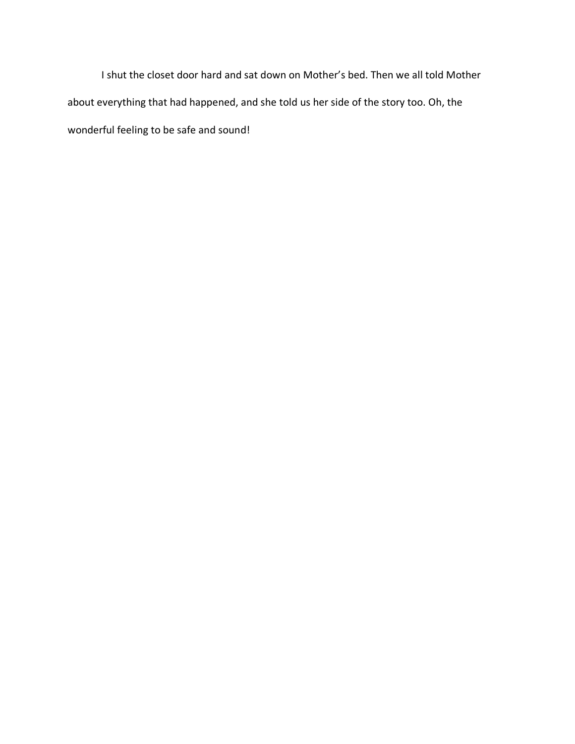I shut the closet door hard and sat down on Mother's bed. Then we all told Mother about everything that had happened, and she told us her side of the story too. Oh, the wonderful feeling to be safe and sound!